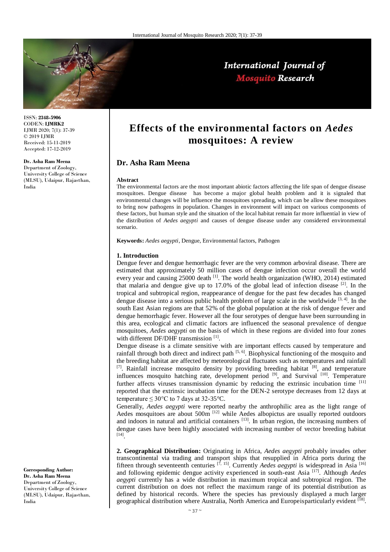

International Journal of **Mosquito Research** 

ISSN: **2348-5906** CODEN: **IJMRK2** IJMR 2020; 7(1): 37-39 © 2019 IJMR Received: 15-11-2019 Accepted: 17-12-2019

# **Dr. Asha Ram Meena**

Department of Zoology, University College of Science (MLSU), Udaipur, Rajasthan, India

# **Effects of the environmental factors on** *Aedes*  **mosquitoes: A review**

# **Dr. Asha Ram Meena**

#### **Abstract**

The environmental factors are the most important abiotic factors affecting the life span of dengue disease mosquitoes. Dengue disease has become a major global health problem and it is signaled that environmental changes will be influence the mosquitoes spreading, which can be allow these mosquitoes to bring now pathogens in population. Changes in environment will impact on various components of these factors, but human style and the situation of the local habitat remain far more influential in view of the distribution of *Aedes aegypti* and causes of dengue disease under any considered environmental scenario.

**Keywords:** *Aedes aegypti*, Dengue, Environmental factors, Pathogen

## **1. Introduction**

Dengue fever and dengue hemorrhagic fever are the very common arboviral disease. There are estimated that approximately 50 million cases of dengue infection occur overall the world every year and causing 25000 death  $\left[1\right]$ . The world health organization (WHO, 2014) estimated that malaria and dengue give up to 17.0% of the global lead of infection disease  $[2]$ . In the tropical and subtropical region, reappearance of dengue for the past few decades has changed dengue disease into a serious public health problem of large scale in the worldwide  $[3, 4]$ . In the south East Asian regions are that 52% of the global population at the risk of dengue fever and dengue hemorrhagic fever. However all the four serotypes of dengue have been surrounding in this area, ecological and climatic factors are influenced the seasonal prevalence of dengue mosquitoes, *Aedes aegypti* on the basis of which in these regions are divided into four zones with different DF/DHF transmission<sup>[1]</sup>.

Dengue disease is a climate sensitive with are important effects caused by temperature and rainfall through both direct and indirect path [5, 6]. Biophysical functioning of the mosquito and the breeding habitat are affected by meteorological fluctuates such as temperatures and rainfall  $[7]$ . Rainfall increase mosquito density by providing breeding habitat  $[8]$ , and temperature influences mosquito hatching rate, development period  $[9]$ , and Survival  $[10]$ . Temperature further affects viruses transmission dynamic by reducing the extrinsic incubation time [11] reported that the extrinsic incubation time for the DEN-2 serotype decreases from 12 days at temperature  $\leq 30^{\circ}$ C to 7 days at 32-35 $^{\circ}$ C.

Generally, *Aedes aegypti* were reported nearby the anthrophilic area as the light range of Aedes mosquitoes are about 500m <sup>[12]</sup> while Aedes albopictus are usually reported outdoors and indoors in natural and artificial containers  $[13]$ . In urban region, the increasing numbers of dengue cases have been highly associated with increasing number of vector breeding habitat [14] .

**2. Geographical Distribution:** Originating in Africa, *Aedes aegypti* probably invades other transcontinental via trading and transport ships that resupplied in Africa ports during the fifteen through seventeenth centuries <sup>[7, 15]</sup>. Currently *Aedes aegypti* is widespread in Asia <sup>[16]</sup> and following epidemic dengue activity experienced in south-east Asia [17]. Although *Aedes aegypti* currently has a wide distribution in maximum tropical and subtropical region. The current distribution on does not reflect the maximum range of its potential distribution as defined by historical records. Where the species has previously displayed a much larger geographical distribution where Australia, North America and Europeisparticularly evident <sup>[18]</sup>.

**Corresponding Author: Dr. Asha Ram Meena** Department of Zoology, University College of Science (MLSU), Udaipur, Rajasthan, India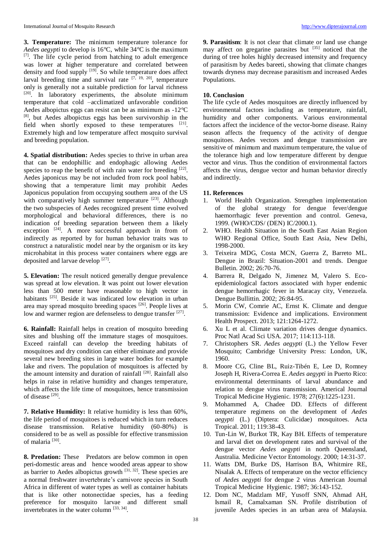**3. Temperature:** The minimum temperature tolerance for *Aedes aegypti* to develop is 16°C, while 34°C is the maximum [7]. The life cycle period from hatching to adult emergence was lower at higher temperature and correlated between density and food supply  $[19]$ . So while temperature does affect larval breeding time and survival rate  $[7, 19, 20]$ , temperature only is generally not a suitable prediction for larval richness  $[20]$ . In laboratory experiments, the absolute minimum temperature that cold –acclimatized unfavorable condition Aedes albopictus eggs can resist can be as minimum as -12°C [8], but Aedes albopictus eggs has been survivorship in the field when shortly exposed to these temperatures  $[21]$ . Extremely high and low temperature affect mosquito survival and breeding population.

**4. Spatial distribution:** Aedes species to thrive in urban area that can be endophillic and endophagic allowing Aedes species to reap the benefit of with rain water for breeding [22]. Aedes japonicus may be not included from rock pool habits, showing that a temperature limit may prohibit Aedes Japonicus population from occupying southern area of the US with comparatively high summer temperature [23]. Although the two subspecies of Aedes recognized present time evolved morphological and behavioral differences, there is no indication of breeding separation between them a likely exception  $[24]$ . A more successful approach in from of indirectly as reported by for human behavior traits was to construct a naturalistic model near by the organism or its key microhabitat in this process water containers where eggs are deposited and larvae develop [27].

**5. Elevation:** The result noticed generally dengue prevalence was spread at low elevation. It was point out lower elevation less than 500 meter have reasonable to high vector in habitants <sup>[25]</sup>. Beside it was indicated low elevation in urban area may spread mosquito breeding spaces [26]. People lives at low and warmer region are defenseless to dengue transfer [27].

**6. Rainfall:** Rainfall helps in creation of mosquito breeding sites and blushing off the immature stages of mosquitoes. Exceed rainfall can develop the breeding habitats of mosquitoes and dry condition can either eliminate and provide several new breeding sites in large water bodies for example lake and rivers. The population of mosquitoes is affected by the amount intensity and duration of rainfall  $[28]$ . Rainfall also helps in raise in relative humidity and changes temperature, which affects the life time of mosquitoes, hence transmission of disease<sup>[29]</sup>.

**7. Relative Humidity:** It relative humidity is less than 60%, the life period of mosquitoes is reduced which in turn reduces disease transmission. Relative humidity (60-80%) is considered to be as well as possible for effective transmission of malaria<sup>[30]</sup>.

**8. Predation:** These Predators are below common in open peri-domestic areas and hence wooded areas appear to show as barrier to Aedes albopictus growth  $[31, 32]$ . These species are a normal freshwater invertebrate's carnivore species in South Africa in different of water types as well as container habitats that is like other notonectidae species, has a feeding preference for mosquito larvae and different small invertebrates in the water column [33, 34].

**9. Parasitism**: It is not clear that climate or land use change may affect on gregarine parasites but  $^{[35]}$  noticed that the during of tree holes highly decreased intensity and frequency of parasitism by Aedes bareeti, showing that climate changes towards dryness may decrease parasitism and increased Aedes Populations.

# **10. Conclusion**

The life cycle of Aedes mosquitoes are directly influenced by environmental factors including as temperature, rainfall, humidity and other components. Various environmental factors affect the incidence of the vector-borne disease. Rainy season affects the frequency of the activity of dengue mosquitoes. Aedes vectors and dengue transmission are sensitive of minimum and maximum temperature, the value of the tolerance high and low temperature different by dengue vector and virus. Thus the condition of environmental factors affects the virus, dengue vector and human behavior directly and indirectly.

### **11. References**

- 1. World Health Organization. Strengthen implementation of the global strategy for dengue fever/dengue haemorrhagic fever prevention and control. Geneva, 1999. (WHO/CDS/ (DEN) IC/2000.1).
- 2. WHO. Health Situation in the South East Asian Region WHO Regional Office, South East Asia, New Delhi, 1998-2000.
- 3. Teixeira MDG, Costa MCN, Guerra Z, Barreto ML. Dengue in Brazil: Situation-2001 and trends. Dengue Bulletin. 2002; 26:70-76.
- 4. Barrera R, Delgado N, Jimenez M, Valero S. Ecoepidemiological factors associated with hyper endemic dengue hemorrhagic fever in Maracay city, Venezuela. Dengue Bullittin. 2002; 26:84-95.
- 5. Morin CW, Comrie AC, Ernst K. Climate and dengue transmission: Evidence and implications. Environment Health Prospect. 2013; 121:1264-1272.
- 6. Xu L et al. Climate variation drives dengue dynamics. Proc Natl Acad Sci USA. 2017; 114:113-118.
- 7. Christophers SR. *Aedes aegypti* (L.) the Yellow Fever Mosquito; Cambridge University Press: London, UK, 1960.
- 8. Moore CG, Cline BL, Ruiz-Tibén E, Lee D, Romney Joseph H, Rivera-Correa E. *Aedes aegypti* in Puerto Rico: environmental determinants of larval abundance and relation to dengue virus transmission. Americal Journal Tropical Medicine Hygienic. 1978; 27(6):1225-1231.
- 9. Mohammed A, Chadee DD. Effects of different temperature regimens on the development of *Aedes aegypti* (L.) (Diptera: Culicidae) mosquitoes. Acta Tropical. 2011; 119:38-43.
- 10. Tun-Lin W, Burkot TR, Kay BH. Effects of temperature and larval diet on development rates and survival of the dengue vector *Aedes aegypti* in north Queensland, Australia. Medicine Vector Entomology. 2000; 14:31-37.
- 11. Watts DM, Burke DS, Harrison BA, Whitmire RE, Nisalak A. Effects of temperature on the vector efficiency of *Aedes aegypti* for dengue 2 virus American Journal Tropical Medicine Hygienic. 1987; 36:143-152.
- 12. Dom NC, Madzlam MF, Yusoff SNN, Ahmad AH, Ismail R, Camalxaman SN. Profile distribution of juvenile Aedes species in an urban area of Malaysia.